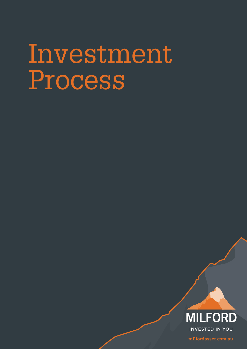# Investment Process



**milfordasset.com.au**